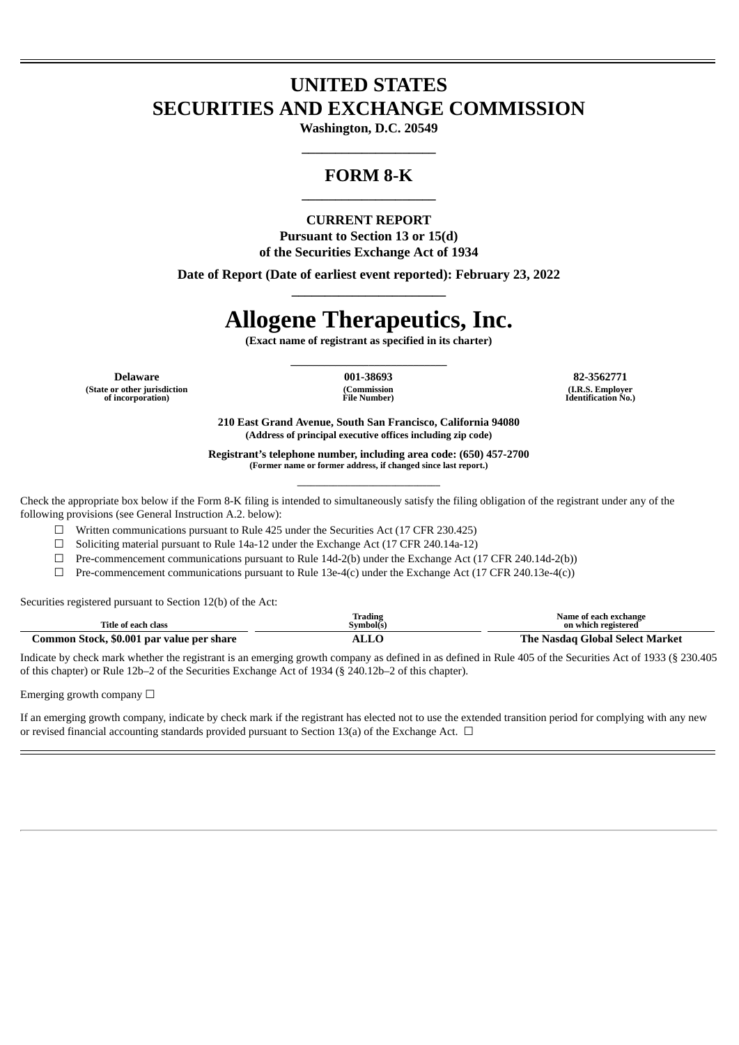## **UNITED STATES SECURITIES AND EXCHANGE COMMISSION**

**Washington, D.C. 20549 \_\_\_\_\_\_\_\_\_\_\_\_\_\_\_\_\_\_\_\_**

## **FORM 8-K \_\_\_\_\_\_\_\_\_\_\_\_\_\_\_\_\_\_\_\_**

## **CURRENT REPORT Pursuant to Section 13 or 15(d) of the Securities Exchange Act of 1934**

**Date of Report (Date of earliest event reported): February 23, 2022 \_\_\_\_\_\_\_\_\_\_\_\_\_\_\_\_\_\_\_\_\_\_\_**

# **Allogene Therapeutics, Inc.**

**(Exact name of registrant as specified in its charter) \_\_\_\_\_\_\_\_\_\_\_\_\_\_\_\_\_\_\_\_\_\_\_\_\_\_\_\_**

**(State or other jurisdiction of incorporation)**

**(Commission File Number)**

**Delaware 001-38693 82-3562771 (I.R.S. Employer Identification No.)**

> **210 East Grand Avenue, South San Francisco, California 94080 (Address of principal executive offices including zip code)**

**Registrant's telephone number, including area code: (650) 457-2700 (Former name or former address, if changed since last report.) \_\_\_\_\_\_\_\_\_\_\_\_\_\_\_\_\_\_\_\_\_\_\_\_\_\_\_\_\_\_\_\_**

Check the appropriate box below if the Form 8-K filing is intended to simultaneously satisfy the filing obligation of the registrant under any of the following provisions (see General Instruction A.2. below):

☐ Written communications pursuant to Rule 425 under the Securities Act (17 CFR 230.425)

 $\Box$  Soliciting material pursuant to Rule 14a-12 under the Exchange Act (17 CFR 240.14a-12)

 $\Box$  Pre-commencement communications pursuant to Rule 14d-2(b) under the Exchange Act (17 CFR 240.14d-2(b))

☐ Pre-commencement communications pursuant to Rule 13e-4(c) under the Exchange Act (17 CFR 240.13e-4(c))

Securities registered pursuant to Section 12(b) of the Act:

| Title of each class                       | Trading<br>Symbol(s) | Name of each exchange<br>on which registered |
|-------------------------------------------|----------------------|----------------------------------------------|
| Common Stock, \$0.001 par value per share | ALLO                 | The Nasdag Global Select Market              |

Indicate by check mark whether the registrant is an emerging growth company as defined in as defined in Rule 405 of the Securities Act of 1933 (§ 230.405 of this chapter) or Rule 12b–2 of the Securities Exchange Act of 1934 (§ 240.12b–2 of this chapter).

Emerging growth company  $\Box$ 

If an emerging growth company, indicate by check mark if the registrant has elected not to use the extended transition period for complying with any new or revised financial accounting standards provided pursuant to Section 13(a) of the Exchange Act.  $\Box$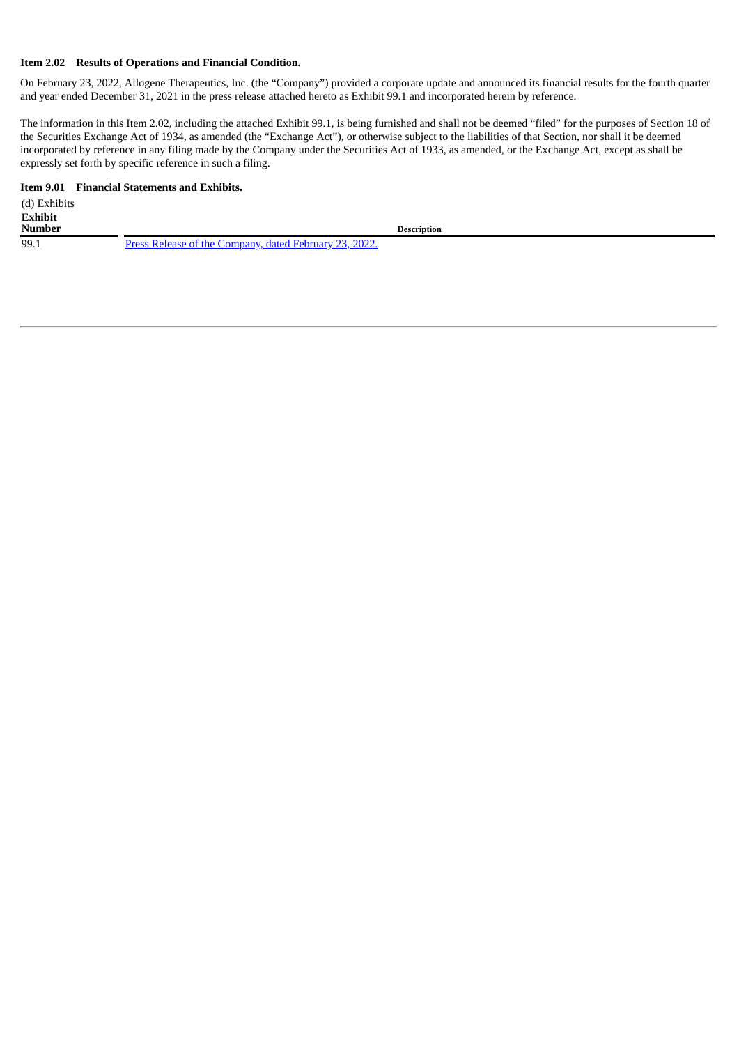#### **Item 2.02 Results of Operations and Financial Condition.**

On February 23, 2022, Allogene Therapeutics, Inc. (the "Company") provided a corporate update and announced its financial results for the fourth quarter and year ended December 31, 2021 in the press release attached hereto as Exhibit 99.1 and incorporated herein by reference.

The information in this Item 2.02, including the attached Exhibit 99.1, is being furnished and shall not be deemed "filed" for the purposes of Section 18 of the Securities Exchange Act of 1934, as amended (the "Exchange Act"), or otherwise subject to the liabilities of that Section, nor shall it be deemed incorporated by reference in any filing made by the Company under the Securities Act of 1933, as amended, or the Exchange Act, except as shall be expressly set forth by specific reference in such a filing.

## **Item 9.01 Financial Statements and Exhibits.**

| (d) Exhibits   |                                                               |
|----------------|---------------------------------------------------------------|
| <b>Exhibit</b> |                                                               |
| <b>Number</b>  | <b>Description</b>                                            |
| 99.1           | <u>Press Release of the Company, dated February 23, 2022.</u> |
|                |                                                               |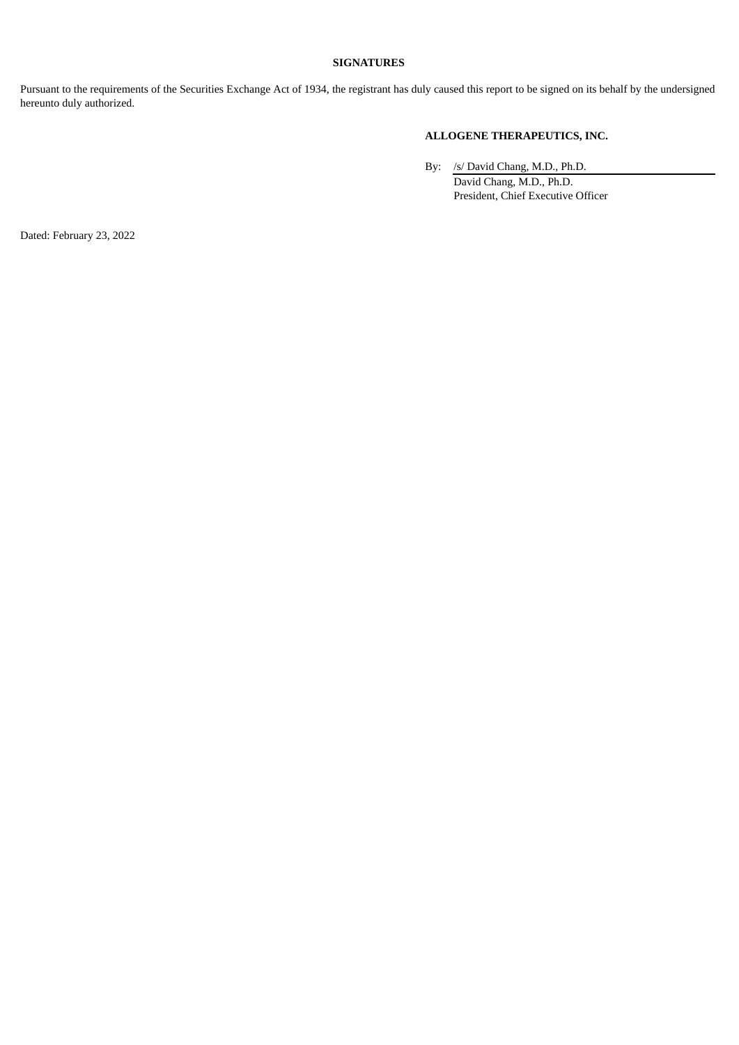## **SIGNATURES**

Pursuant to the requirements of the Securities Exchange Act of 1934, the registrant has duly caused this report to be signed on its behalf by the undersigned hereunto duly authorized.

## **ALLOGENE THERAPEUTICS, INC.**

By: /s/ David Chang, M.D., Ph.D. David Chang, M.D., Ph.D. President, Chief Executive Officer

Dated: February 23, 2022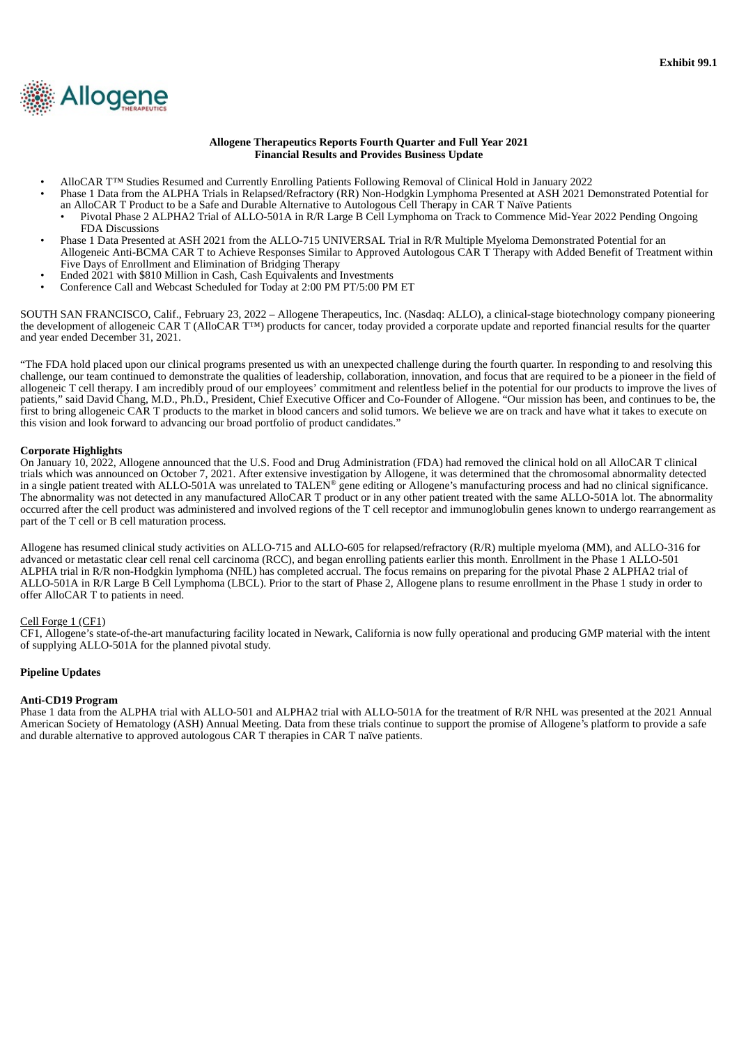<span id="page-3-0"></span>

#### **Allogene Therapeutics Reports Fourth Quarter and Full Year 2021 Financial Results and Provides Business Update**

- AlloCAR T™ Studies Resumed and Currently Enrolling Patients Following Removal of Clinical Hold in January 2022
- Phase 1 Data from the ALPHA Trials in Relapsed/Refractory (RR) Non-Hodgkin Lymphoma Presented at ASH 2021 Demonstrated Potential for an AlloCAR T Product to be a Safe and Durable Alternative to Autologous Cell Therapy in CAR T Naïve Patients
	- Pivotal Phase 2 ALPHA2 Trial of ALLO-501A in R/R Large B Cell Lymphoma on Track to Commence Mid-Year 2022 Pending Ongoing FDA Discussions
- Phase 1 Data Presented at ASH 2021 from the ALLO-715 UNIVERSAL Trial in R/R Multiple Myeloma Demonstrated Potential for an Allogeneic Anti-BCMA CAR T to Achieve Responses Similar to Approved Autologous CAR T Therapy with Added Benefit of Treatment within Five Days of Enrollment and Elimination of Bridging Therapy
- Ended 2021 with \$810 Million in Cash, Cash Equivalents and Investments
- Conference Call and Webcast Scheduled for Today at 2:00 PM PT/5:00 PM ET

SOUTH SAN FRANCISCO, Calif., February 23, 2022 – Allogene Therapeutics, Inc. (Nasdaq: ALLO), a clinical-stage biotechnology company pioneering the development of allogeneic CAR T (AlloCAR T™) products for cancer, today provided a corporate update and reported financial results for the quarter and year ended December 31, 2021.

"The FDA hold placed upon our clinical programs presented us with an unexpected challenge during the fourth quarter. In responding to and resolving this challenge, our team continued to demonstrate the qualities of leadership, collaboration, innovation, and focus that are required to be a pioneer in the field of allogeneic T cell therapy. I am incredibly proud of our employees' commitment and relentless belief in the potential for our products to improve the lives of patients," said David Chang, M.D., Ph.D., President, Chief Executive Officer and Co-Founder of Allogene. "Our mission has been, and continues to be, the first to bring allogeneic CAR T products to the market in blood cancers and solid tumors. We believe we are on track and have what it takes to execute on this vision and look forward to advancing our broad portfolio of product candidates."

#### **Corporate Highlights**

On January 10, 2022, Allogene announced that the U.S. Food and Drug Administration (FDA) had removed the clinical hold on all AlloCAR T clinical trials which was announced on October 7, 2021. After extensive investigation by Allogene, it was determined that the chromosomal abnormality detected in a single patient treated with ALLO-501A was unrelated to TALEN® gene editing or Allogene's manufacturing process and had no clinical significance. The abnormality was not detected in any manufactured AlloCAR T product or in any other patient treated with the same ALLO-501A lot. The abnormality occurred after the cell product was administered and involved regions of the T cell receptor and immunoglobulin genes known to undergo rearrangement as part of the T cell or B cell maturation process.

Allogene has resumed clinical study activities on ALLO-715 and ALLO-605 for relapsed/refractory (R/R) multiple myeloma (MM), and ALLO-316 for advanced or metastatic clear cell renal cell carcinoma (RCC), and began enrolling patients earlier this month. Enrollment in the Phase 1 ALLO-501 ALPHA trial in R/R non-Hodgkin lymphoma (NHL) has completed accrual. The focus remains on preparing for the pivotal Phase 2 ALPHA2 trial of ALLO-501A in R/R Large B Cell Lymphoma (LBCL). Prior to the start of Phase 2, Allogene plans to resume enrollment in the Phase 1 study in order to offer AlloCAR T to patients in need.

#### Cell Forge 1 (CF1)

CF1, Allogene's state-of-the-art manufacturing facility located in Newark, California is now fully operational and producing GMP material with the intent of supplying ALLO-501A for the planned pivotal study.

#### **Pipeline Updates**

#### **Anti-CD19 Program**

Phase 1 data from the ALPHA trial with ALLO-501 and ALPHA2 trial with ALLO-501A for the treatment of R/R NHL was presented at the 2021 Annual American Society of Hematology (ASH) Annual Meeting. Data from these trials continue to support the promise of Allogene's platform to provide a safe and durable alternative to approved autologous CAR T therapies in CAR T naïve patients.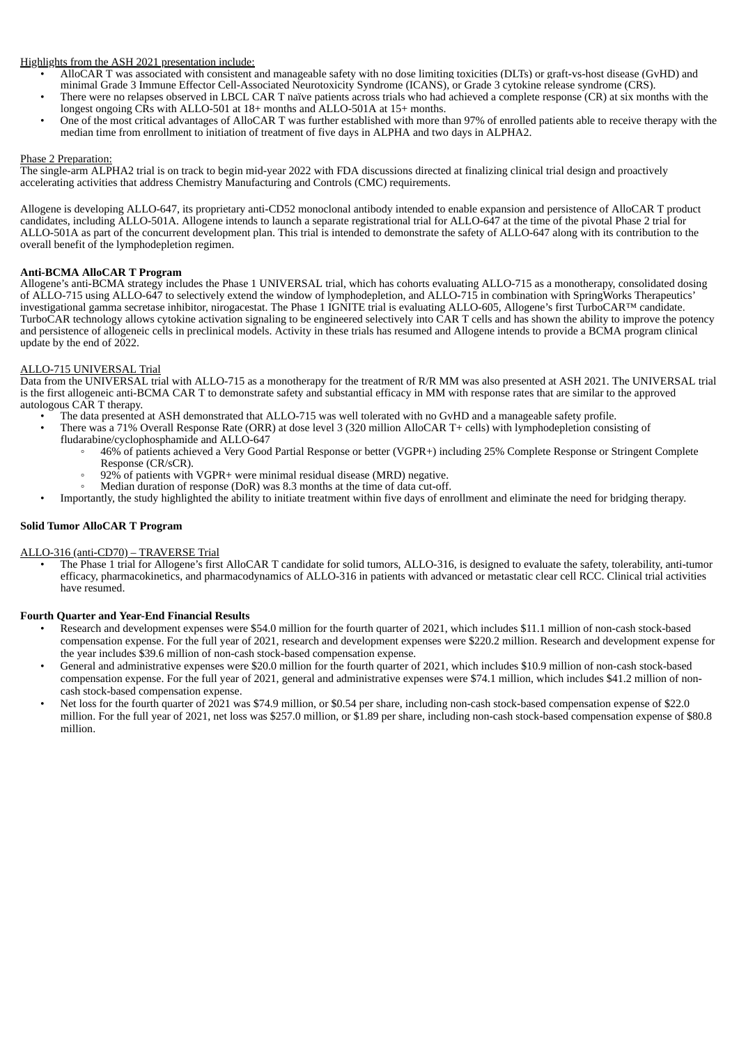Highlights from the ASH 2021 presentation include:

- AlloCAR T was associated with consistent and manageable safety with no dose limiting toxicities (DLTs) or graft-vs-host disease (GvHD) and minimal Grade 3 Immune Effector Cell-Associated Neurotoxicity Syndrome (ICANS), or Grade 3 cytokine release syndrome (CRS).
- There were no relapses observed in LBCL CAR T naïve patients across trials who had achieved a complete response (CR) at six months with the longest ongoing CRs with ALLO-501 at 18+ months and ALLO-501A at 15+ months.
- One of the most critical advantages of AlloCAR T was further established with more than 97% of enrolled patients able to receive therapy with the median time from enrollment to initiation of treatment of five days in ALPHA and two days in ALPHA2.

#### Phase 2 Preparation:

The single-arm ALPHA2 trial is on track to begin mid-year 2022 with FDA discussions directed at finalizing clinical trial design and proactively accelerating activities that address Chemistry Manufacturing and Controls (CMC) requirements.

Allogene is developing ALLO-647, its proprietary anti-CD52 monoclonal antibody intended to enable expansion and persistence of AlloCAR T product candidates, including ALLO-501A. Allogene intends to launch a separate registrational trial for ALLO-647 at the time of the pivotal Phase 2 trial for ALLO-501A as part of the concurrent development plan. This trial is intended to demonstrate the safety of ALLO-647 along with its contribution to the overall benefit of the lymphodepletion regimen.

#### **Anti-BCMA AlloCAR T Program**

Allogene's anti-BCMA strategy includes the Phase 1 UNIVERSAL trial, which has cohorts evaluating ALLO-715 as a monotherapy, consolidated dosing of ALLO-715 using ALLO-647 to selectively extend the window of lymphodepletion, and ALLO-715 in combination with SpringWorks Therapeutics' investigational gamma secretase inhibitor, nirogacestat. The Phase 1 IGNITE trial is evaluating ALLO-605, Allogene's first TurboCAR™ candidate. TurboCAR technology allows cytokine activation signaling to be engineered selectively into CAR T cells and has shown the ability to improve the potency and persistence of allogeneic cells in preclinical models. Activity in these trials has resumed and Allogene intends to provide a BCMA program clinical update by the end of 2022.

#### ALLO-715 UNIVERSAL Trial

Data from the UNIVERSAL trial with ALLO-715 as a monotherapy for the treatment of R/R MM was also presented at ASH 2021. The UNIVERSAL trial is the first allogeneic anti-BCMA CAR T to demonstrate safety and substantial efficacy in MM with response rates that are similar to the approved autologous CAR T therapy.

- The data presented at ASH demonstrated that ALLO-715 was well tolerated with no GvHD and a manageable safety profile.
- There was a 71% Overall Response Rate (ORR) at dose level 3 (320 million AlloCAR T+ cells) with lymphodepletion consisting of fludarabine/cyclophosphamide and ALLO-647
	- 46% of patients achieved a Very Good Partial Response or better (VGPR+) including 25% Complete Response or Stringent Complete Response (CR/sCR).
		- $92\%$  of patients with VGPR+ were minimal residual disease (MRD) negative.
		- Median duration of response (DoR) was 8.3 months at the time of data cut-off.
- Importantly, the study highlighted the ability to initiate treatment within five days of enrollment and eliminate the need for bridging therapy.

#### **Solid Tumor AlloCAR T Program**

#### ALLO-316 (anti-CD70) – TRAVERSE Trial

• The Phase 1 trial for Allogene's first AlloCAR T candidate for solid tumors, ALLO-316, is designed to evaluate the safety, tolerability, anti-tumor efficacy, pharmacokinetics, and pharmacodynamics of ALLO-316 in patients with advanced or metastatic clear cell RCC. Clinical trial activities have resumed.

#### **Fourth Quarter and Year-End Financial Results**

- Research and development expenses were \$54.0 million for the fourth quarter of 2021, which includes \$11.1 million of non-cash stock-based compensation expense. For the full year of 2021, research and development expenses were \$220.2 million. Research and development expense for the year includes \$39.6 million of non-cash stock-based compensation expense.
- General and administrative expenses were \$20.0 million for the fourth quarter of 2021, which includes \$10.9 million of non-cash stock-based compensation expense. For the full year of 2021, general and administrative expenses were \$74.1 million, which includes \$41.2 million of noncash stock-based compensation expense.
- Net loss for the fourth quarter of 2021 was \$74.9 million, or \$0.54 per share, including non-cash stock-based compensation expense of \$22.0 million. For the full year of 2021, net loss was \$257.0 million, or \$1.89 per share, including non-cash stock-based compensation expense of \$80.8 million.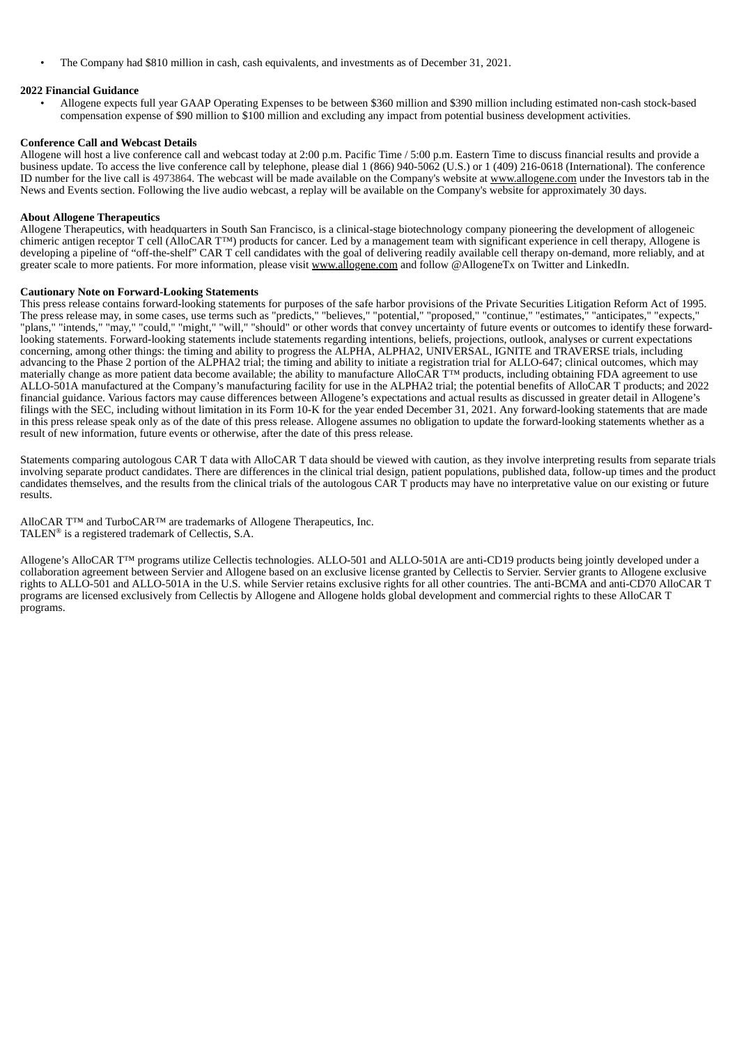• The Company had \$810 million in cash, cash equivalents, and investments as of December 31, 2021.

#### **2022 Financial Guidance**

• Allogene expects full year GAAP Operating Expenses to be between \$360 million and \$390 million including estimated non-cash stock-based compensation expense of \$90 million to \$100 million and excluding any impact from potential business development activities.

#### **Conference Call and Webcast Details**

Allogene will host a live conference call and webcast today at 2:00 p.m. Pacific Time / 5:00 p.m. Eastern Time to discuss financial results and provide a business update. To access the live conference call by telephone, please dial 1 (866) 940-5062 (U.S.) or 1 (409) 216-0618 (International). The conference ID number for the live call is 4973864. The webcast will be made available on the Company's website at www.allogene.com under the Investors tab in the News and Events section. Following the live audio webcast, a replay will be available on the Company's website for approximately 30 days.

#### **About Allogene Therapeutics**

Allogene Therapeutics, with headquarters in South San Francisco, is a clinical-stage biotechnology company pioneering the development of allogeneic chimeric antigen receptor T cell (AlloCAR T™) products for cancer. Led by a management team with significant experience in cell therapy, Allogene is developing a pipeline of "off-the-shelf" CAR T cell candidates with the goal of delivering readily available cell therapy on-demand, more reliably, and at greater scale to more patients. For more information, please visit www.allogene.com and follow @AllogeneTx on Twitter and LinkedIn.

#### **Cautionary Note on Forward-Looking Statements**

This press release contains forward-looking statements for purposes of the safe harbor provisions of the Private Securities Litigation Reform Act of 1995. The press release may, in some cases, use terms such as "predicts," "believes," "potential," "proposed," "continue," "estimates," "anticipates," "expects," "plans," "intends," "may," "could," "might," "will," "should" or other words that convey uncertainty of future events or outcomes to identify these forwardlooking statements. Forward-looking statements include statements regarding intentions, beliefs, projections, outlook, analyses or current expectations concerning, among other things: the timing and ability to progress the ALPHA, ALPHA2, UNIVERSAL, IGNITE and TRAVERSE trials, including advancing to the Phase 2 portion of the ALPHA2 trial; the timing and ability to initiate a registration trial for ALLO-647; clinical outcomes, which may materially change as more patient data become available; the ability to manufacture AlloCAR T™ products, including obtaining FDA agreement to use ALLO-501A manufactured at the Company's manufacturing facility for use in the ALPHA2 trial; the potential benefits of AlloCAR T products; and 2022 financial guidance. Various factors may cause differences between Allogene's expectations and actual results as discussed in greater detail in Allogene's filings with the SEC, including without limitation in its Form 10-K for the year ended December 31, 2021. Any forward-looking statements that are made in this press release speak only as of the date of this press release. Allogene assumes no obligation to update the forward-looking statements whether as a result of new information, future events or otherwise, after the date of this press release.

Statements comparing autologous CAR T data with AlloCAR T data should be viewed with caution, as they involve interpreting results from separate trials involving separate product candidates. There are differences in the clinical trial design, patient populations, published data, follow-up times and the product candidates themselves, and the results from the clinical trials of the autologous CAR T products may have no interpretative value on our existing or future results.

AlloCAR T™ and TurboCAR™ are trademarks of Allogene Therapeutics, Inc. TALEN<sup>®</sup> is a registered trademark of Cellectis, S.A.

Allogene's AlloCAR T™ programs utilize Cellectis technologies. ALLO-501 and ALLO-501A are anti-CD19 products being jointly developed under a collaboration agreement between Servier and Allogene based on an exclusive license granted by Cellectis to Servier. Servier grants to Allogene exclusive rights to ALLO-501 and ALLO-501A in the U.S. while Servier retains exclusive rights for all other countries. The anti-BCMA and anti-CD70 AlloCAR T programs are licensed exclusively from Cellectis by Allogene and Allogene holds global development and commercial rights to these AlloCAR T programs.